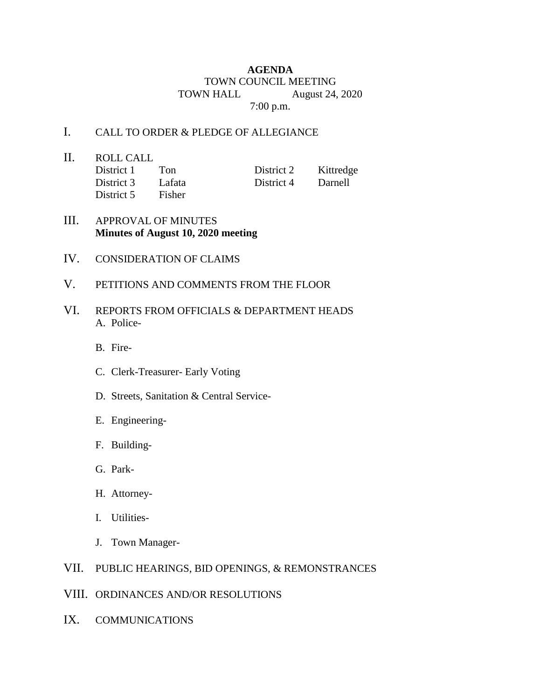## **AGENDA** TOWN COUNCIL MEETING TOWN HALL August 24, 2020 7:00 p.m.

## I. CALL TO ORDER & PLEDGE OF ALLEGIANCE

II. ROLL CALL District 1 Ton District 2 Kittredge District 3 Lafata District 4 Darnell District 5 Fisher

- III. APPROVAL OF MINUTES **Minutes of August 10, 2020 meeting**
- IV. CONSIDERATION OF CLAIMS
- V. PETITIONS AND COMMENTS FROM THE FLOOR
- VI. REPORTS FROM OFFICIALS & DEPARTMENT HEADS A. Police-
	- B. Fire-
	- C. Clerk-Treasurer- Early Voting
	- D. Streets, Sanitation & Central Service-
	- E. Engineering-
	- F. Building-
	- G. Park-
	- H. Attorney-
	- I. Utilities-
	- J. Town Manager-

## VII. PUBLIC HEARINGS, BID OPENINGS, & REMONSTRANCES

- VIII. ORDINANCES AND/OR RESOLUTIONS
- IX. COMMUNICATIONS